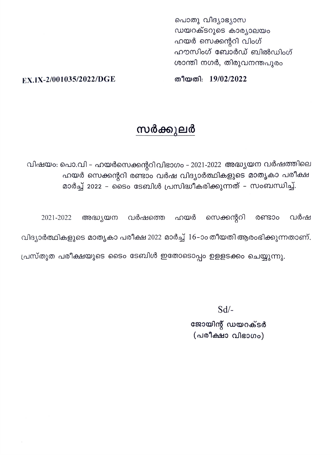പൊതു വിദ്യാഭ്യാസ ഡയറക്ടറുടെ കാര്യാലയം ഹയർ സെക്കന്ററി വിംഗ് ഹൗസിംഗ് ബോർഡ് ബിൽഡിംഗ് ശാന്തി നഗർ, തിരുവനന്തപുരം

തീയതി: 19/02/2022

EX.IX-2/001035/2022/DGE

## സർക്കുലർ

വിഷയം: പൊ.വി – ഹയർസെക്കന്ററിവിഭാഗം – 2021-2022 അദ്ധ്യയന വർഷത്തിലെ ഹയർ സെക്കന്ററി രണ്ടാം വർഷ വിദ്യാർത്ഥികളുടെ മാതൃകാ പരീക്ഷ മാർച്ച് 2022 – ടൈം ടേബിൾ പ്രസിദ്ധീകരിക്കുന്നത് – സംബന്ധിച്ച്.

അദ്ധ്യയന വർഷത്തെ ഹയർ സെക്കന്ററി വർഷ 2021-2022 രണ്ടാം വിദ്യാർത്ഥികളുടെ മാതൃകാ പരീക്ഷ 2022 മാർച്ച് 16-ാം തീയതി ആരംഭിക്കുന്നതാണ്.

പ്രസ്തുത പരീക്ഷയുടെ ടൈം ടേബിൾ ഇതോടൊപ്പം ഉളളടക്കം ചെയ്യുന്നു.

 $Sd$ /-

ജോയിന്റ് ഡയറക്ടർ (പരീക്ഷാ വിഭാഗം)